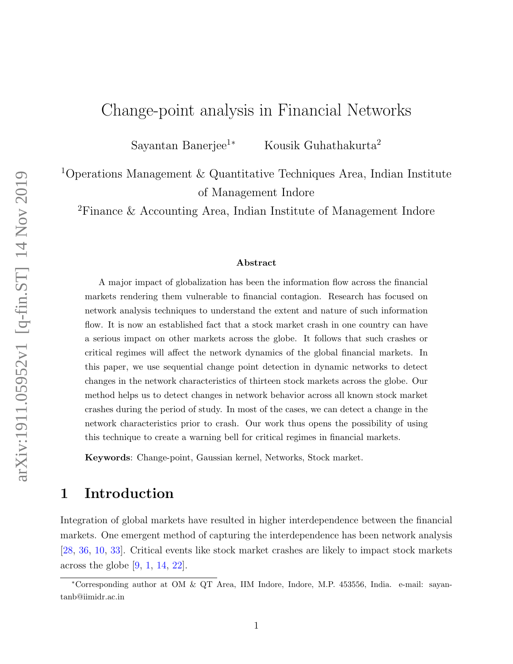# Change-point analysis in Financial Networks

Sayantan Banerjee<sup>1</sup><sup>∗</sup> Kousik Guhathakurta<sup>2</sup>

<sup>1</sup>Operations Management & Quantitative Techniques Area, Indian Institute of Management Indore

<sup>2</sup>Finance & Accounting Area, Indian Institute of Management Indore

#### Abstract

A major impact of globalization has been the information flow across the financial markets rendering them vulnerable to financial contagion. Research has focused on network analysis techniques to understand the extent and nature of such information flow. It is now an established fact that a stock market crash in one country can have a serious impact on other markets across the globe. It follows that such crashes or critical regimes will affect the network dynamics of the global financial markets. In this paper, we use sequential change point detection in dynamic networks to detect changes in the network characteristics of thirteen stock markets across the globe. Our method helps us to detect changes in network behavior across all known stock market crashes during the period of study. In most of the cases, we can detect a change in the network characteristics prior to crash. Our work thus opens the possibility of using this technique to create a warning bell for critical regimes in financial markets.

Keywords: Change-point, Gaussian kernel, Networks, Stock market.

### 1 Introduction

Integration of global markets have resulted in higher interdependence between the financial markets. One emergent method of capturing the interdependence has been network analysis [28, 36, 10, 33]. Critical events like stock market crashes are likely to impact stock markets across the globe [9, 1, 14, 22].

<sup>∗</sup>Corresponding author at OM & QT Area, IIM Indore, Indore, M.P. 453556, India. e-mail: sayantanb@iimidr.ac.in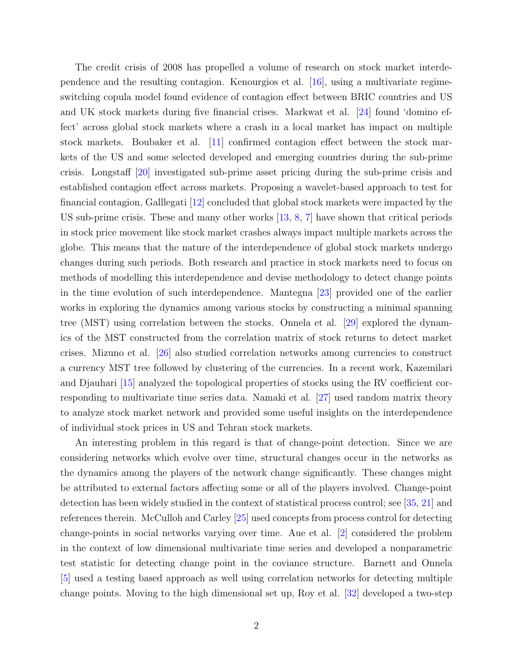The credit crisis of 2008 has propelled a volume of research on stock market interdependence and the resulting contagion. Kenourgios et al. [16], using a multivariate regimeswitching copula model found evidence of contagion effect between BRIC countries and US and UK stock markets during five financial crises. Markwat et al. [24] found 'domino effect' across global stock markets where a crash in a local market has impact on multiple stock markets. Boubaker et al. [11] confirmed contagion effect between the stock markets of the US and some selected developed and emerging countries during the sub-prime crisis. Longstaff [20] investigated sub-prime asset pricing during the sub-prime crisis and established contagion effect across markets. Proposing a wavelet-based approach to test for financial contagion, Galllegati [12] concluded that global stock markets were impacted by the US sub-prime crisis. These and many other works [13, 8, 7] have shown that critical periods in stock price movement like stock market crashes always impact multiple markets across the globe. This means that the nature of the interdependence of global stock markets undergo changes during such periods. Both research and practice in stock markets need to focus on methods of modelling this interdependence and devise methodology to detect change points in the time evolution of such interdependence. Mantegna [23] provided one of the earlier works in exploring the dynamics among various stocks by constructing a minimal spanning tree (MST) using correlation between the stocks. Onnela et al. [29] explored the dynamics of the MST constructed from the correlation matrix of stock returns to detect market crises. Mizuno et al. [26] also studied correlation networks among currencies to construct a currency MST tree followed by clustering of the currencies. In a recent work, Kazemilari and Djauhari [15] analyzed the topological properties of stocks using the RV coefficient corresponding to multivariate time series data. Namaki et al. [27] used random matrix theory to analyze stock market network and provided some useful insights on the interdependence of individual stock prices in US and Tehran stock markets.

An interesting problem in this regard is that of change-point detection. Since we are considering networks which evolve over time, structural changes occur in the networks as the dynamics among the players of the network change significantly. These changes might be attributed to external factors affecting some or all of the players involved. Change-point detection has been widely studied in the context of statistical process control; see [35, 21] and references therein. McCulloh and Carley [25] used concepts from process control for detecting change-points in social networks varying over time. Aue et al. [2] considered the problem in the context of low dimensional multivariate time series and developed a nonparametric test statistic for detecting change point in the coviance structure. Barnett and Onnela [5] used a testing based approach as well using correlation networks for detecting multiple change points. Moving to the high dimensional set up, Roy et al. [32] developed a two-step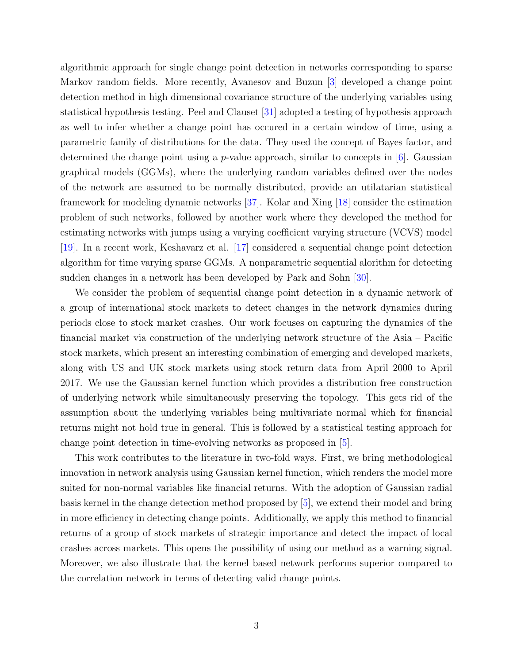algorithmic approach for single change point detection in networks corresponding to sparse Markov random fields. More recently, Avanesov and Buzun [3] developed a change point detection method in high dimensional covariance structure of the underlying variables using statistical hypothesis testing. Peel and Clauset [31] adopted a testing of hypothesis approach as well to infer whether a change point has occured in a certain window of time, using a parametric family of distributions for the data. They used the concept of Bayes factor, and determined the change point using a *p*-value approach, similar to concepts in  $[6]$ . Gaussian graphical models (GGMs), where the underlying random variables defined over the nodes of the network are assumed to be normally distributed, provide an utilatarian statistical framework for modeling dynamic networks [37]. Kolar and Xing [18] consider the estimation problem of such networks, followed by another work where they developed the method for estimating networks with jumps using a varying coefficient varying structure (VCVS) model [19]. In a recent work, Keshavarz et al. [17] considered a sequential change point detection algorithm for time varying sparse GGMs. A nonparametric sequential alorithm for detecting sudden changes in a network has been developed by Park and Sohn [30].

We consider the problem of sequential change point detection in a dynamic network of a group of international stock markets to detect changes in the network dynamics during periods close to stock market crashes. Our work focuses on capturing the dynamics of the financial market via construction of the underlying network structure of the Asia – Pacific stock markets, which present an interesting combination of emerging and developed markets, along with US and UK stock markets using stock return data from April 2000 to April 2017. We use the Gaussian kernel function which provides a distribution free construction of underlying network while simultaneously preserving the topology. This gets rid of the assumption about the underlying variables being multivariate normal which for financial returns might not hold true in general. This is followed by a statistical testing approach for change point detection in time-evolving networks as proposed in [5].

This work contributes to the literature in two-fold ways. First, we bring methodological innovation in network analysis using Gaussian kernel function, which renders the model more suited for non-normal variables like financial returns. With the adoption of Gaussian radial basis kernel in the change detection method proposed by [5], we extend their model and bring in more efficiency in detecting change points. Additionally, we apply this method to financial returns of a group of stock markets of strategic importance and detect the impact of local crashes across markets. This opens the possibility of using our method as a warning signal. Moreover, we also illustrate that the kernel based network performs superior compared to the correlation network in terms of detecting valid change points.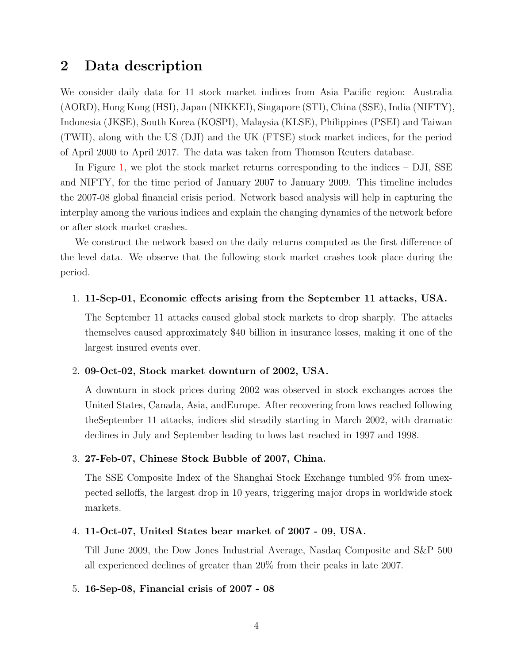## 2 Data description

We consider daily data for 11 stock market indices from Asia Pacific region: Australia (AORD), Hong Kong (HSI), Japan (NIKKEI), Singapore (STI), China (SSE), India (NIFTY), Indonesia (JKSE), South Korea (KOSPI), Malaysia (KLSE), Philippines (PSEI) and Taiwan (TWII), along with the US (DJI) and the UK (FTSE) stock market indices, for the period of April 2000 to April 2017. The data was taken from Thomson Reuters database.

In Figure 1, we plot the stock market returns corresponding to the indices – DJI, SSE and NIFTY, for the time period of January 2007 to January 2009. This timeline includes the 2007-08 global financial crisis period. Network based analysis will help in capturing the interplay among the various indices and explain the changing dynamics of the network before or after stock market crashes.

We construct the network based on the daily returns computed as the first difference of the level data. We observe that the following stock market crashes took place during the period.

#### 1. 11-Sep-01, Economic effects arising from the September 11 attacks, USA.

The September 11 attacks caused global stock markets to drop sharply. The attacks themselves caused approximately \$40 billion in insurance losses, making it one of the largest insured events ever.

### 2. 09-Oct-02, Stock market downturn of 2002, USA.

A downturn in stock prices during 2002 was observed in stock exchanges across the United States, Canada, Asia, andEurope. After recovering from lows reached following theSeptember 11 attacks, indices slid steadily starting in March 2002, with dramatic declines in July and September leading to lows last reached in 1997 and 1998.

### 3. 27-Feb-07, Chinese Stock Bubble of 2007, China.

The SSE Composite Index of the Shanghai Stock Exchange tumbled 9% from unexpected selloffs, the largest drop in 10 years, triggering major drops in worldwide stock markets.

#### 4. 11-Oct-07, United States bear market of 2007 - 09, USA.

Till June 2009, the Dow Jones Industrial Average, Nasdaq Composite and S&P 500 all experienced declines of greater than 20% from their peaks in late 2007.

#### 5. 16-Sep-08, Financial crisis of 2007 - 08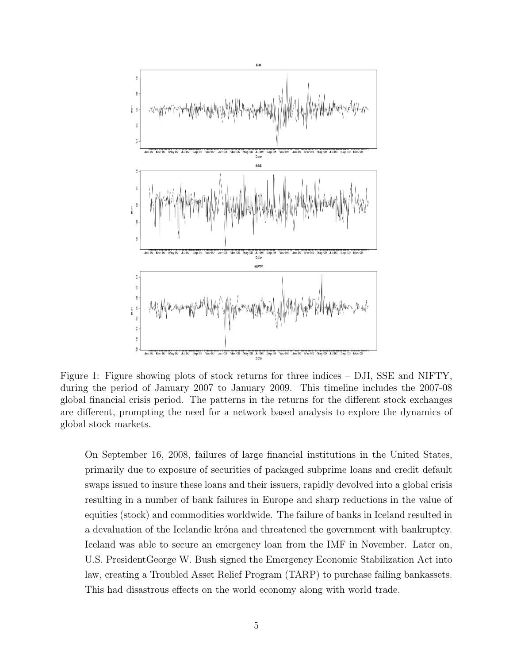

Figure 1: Figure showing plots of stock returns for three indices – DJI, SSE and NIFTY, during the period of January 2007 to January 2009. This timeline includes the 2007-08 global financial crisis period. The patterns in the returns for the different stock exchanges are different, prompting the need for a network based analysis to explore the dynamics of global stock markets.

On September 16, 2008, failures of large financial institutions in the United States, primarily due to exposure of securities of packaged subprime loans and credit default swaps issued to insure these loans and their issuers, rapidly devolved into a global crisis resulting in a number of bank failures in Europe and sharp reductions in the value of equities (stock) and commodities worldwide. The failure of banks in Iceland resulted in a devaluation of the Icelandic króna and threatened the government with bankruptcy. Iceland was able to secure an emergency loan from the IMF in November. Later on, U.S. PresidentGeorge W. Bush signed the Emergency Economic Stabilization Act into law, creating a Troubled Asset Relief Program (TARP) to purchase failing bankassets. This had disastrous effects on the world economy along with world trade.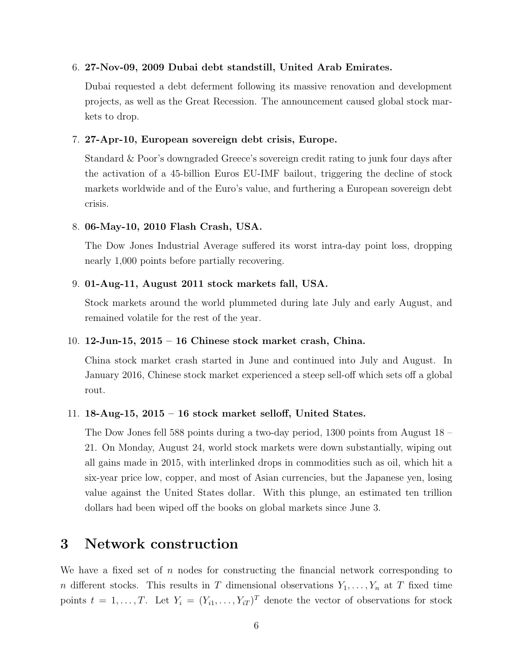### 6. 27-Nov-09, 2009 Dubai debt standstill, United Arab Emirates.

Dubai requested a debt deferment following its massive renovation and development projects, as well as the Great Recession. The announcement caused global stock markets to drop.

### 7. 27-Apr-10, European sovereign debt crisis, Europe.

Standard & Poor's downgraded Greece's sovereign credit rating to junk four days after the activation of a 45-billion Euros EU-IMF bailout, triggering the decline of stock markets worldwide and of the Euro's value, and furthering a European sovereign debt crisis.

### 8. 06-May-10, 2010 Flash Crash, USA.

The Dow Jones Industrial Average suffered its worst intra-day point loss, dropping nearly 1,000 points before partially recovering.

### 9. 01-Aug-11, August 2011 stock markets fall, USA.

Stock markets around the world plummeted during late July and early August, and remained volatile for the rest of the year.

### 10. 12-Jun-15, 2015 – 16 Chinese stock market crash, China.

China stock market crash started in June and continued into July and August. In January 2016, Chinese stock market experienced a steep sell-off which sets off a global rout.

### 11. 18-Aug-15, 2015 – 16 stock market selloff, United States.

The Dow Jones fell 588 points during a two-day period, 1300 points from August 18 – 21. On Monday, August 24, world stock markets were down substantially, wiping out all gains made in 2015, with interlinked drops in commodities such as oil, which hit a six-year price low, copper, and most of Asian currencies, but the Japanese yen, losing value against the United States dollar. With this plunge, an estimated ten trillion dollars had been wiped off the books on global markets since June 3.

# 3 Network construction

We have a fixed set of n nodes for constructing the financial network corresponding to n different stocks. This results in T dimensional observations  $Y_1, \ldots, Y_n$  at T fixed time points  $t = 1, \ldots, T$ . Let  $Y_i = (Y_{i1}, \ldots, Y_{iT})^T$  denote the vector of observations for stock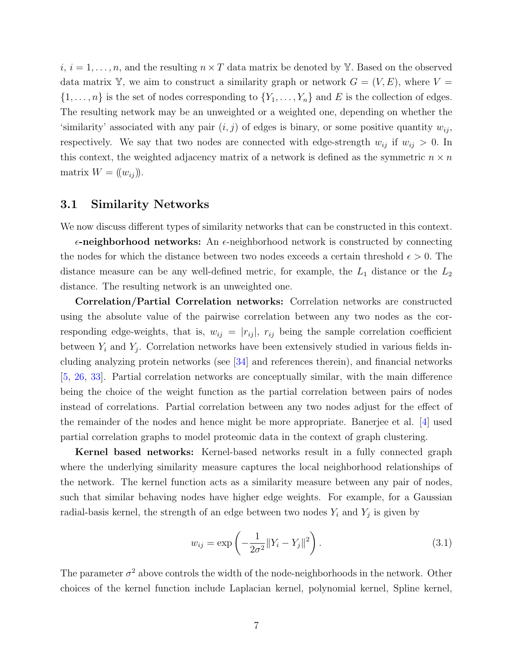$i, i = 1, \ldots, n$ , and the resulting  $n \times T$  data matrix be denoted by Y. Based on the observed data matrix Y, we aim to construct a similarity graph or network  $G = (V, E)$ , where  $V =$  $\{1,\ldots,n\}$  is the set of nodes corresponding to  $\{Y_1,\ldots,Y_n\}$  and E is the collection of edges. The resulting network may be an unweighted or a weighted one, depending on whether the 'similarity' associated with any pair  $(i, j)$  of edges is binary, or some positive quantity  $w_{ij}$ , respectively. We say that two nodes are connected with edge-strength  $w_{ij}$  if  $w_{ij} > 0$ . In this context, the weighted adjacency matrix of a network is defined as the symmetric  $n \times n$ matrix  $W = (w_{ij})$ .

### 3.1 Similarity Networks

We now discuss different types of similarity networks that can be constructed in this context.

 $\epsilon$ -neighborhood networks: An  $\epsilon$ -neighborhood network is constructed by connecting the nodes for which the distance between two nodes exceeds a certain threshold  $\epsilon > 0$ . The distance measure can be any well-defined metric, for example, the  $L_1$  distance or the  $L_2$ distance. The resulting network is an unweighted one.

Correlation/Partial Correlation networks: Correlation networks are constructed using the absolute value of the pairwise correlation between any two nodes as the corresponding edge-weights, that is,  $w_{ij} = |r_{ij}|$ ,  $r_{ij}$  being the sample correlation coefficient between  $Y_i$  and  $Y_j$ . Correlation networks have been extensively studied in various fields including analyzing protein networks (see [34] and references therein), and financial networks [5, 26, 33]. Partial correlation networks are conceptually similar, with the main difference being the choice of the weight function as the partial correlation between pairs of nodes instead of correlations. Partial correlation between any two nodes adjust for the effect of the remainder of the nodes and hence might be more appropriate. Banerjee et al. [4] used partial correlation graphs to model proteomic data in the context of graph clustering.

Kernel based networks: Kernel-based networks result in a fully connected graph where the underlying similarity measure captures the local neighborhood relationships of the network. The kernel function acts as a similarity measure between any pair of nodes, such that similar behaving nodes have higher edge weights. For example, for a Gaussian radial-basis kernel, the strength of an edge between two nodes  $Y_i$  and  $Y_j$  is given by

$$
w_{ij} = \exp\left(-\frac{1}{2\sigma^2} \|Y_i - Y_j\|^2\right).
$$
 (3.1)

The parameter  $\sigma^2$  above controls the width of the node-neighborhoods in the network. Other choices of the kernel function include Laplacian kernel, polynomial kernel, Spline kernel,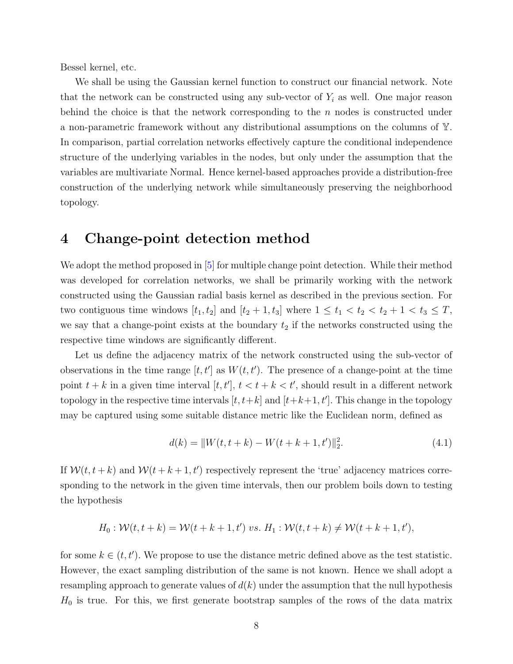Bessel kernel, etc.

We shall be using the Gaussian kernel function to construct our financial network. Note that the network can be constructed using any sub-vector of  $Y_i$  as well. One major reason behind the choice is that the network corresponding to the  $n$  nodes is constructed under a non-parametric framework without any distributional assumptions on the columns of Y. In comparison, partial correlation networks effectively capture the conditional independence structure of the underlying variables in the nodes, but only under the assumption that the variables are multivariate Normal. Hence kernel-based approaches provide a distribution-free construction of the underlying network while simultaneously preserving the neighborhood topology.

### 4 Change-point detection method

We adopt the method proposed in [5] for multiple change point detection. While their method was developed for correlation networks, we shall be primarily working with the network constructed using the Gaussian radial basis kernel as described in the previous section. For two contiguous time windows  $[t_1, t_2]$  and  $[t_2 + 1, t_3]$  where  $1 \leq t_1 < t_2 < t_2 + 1 < t_3 \leq T$ , we say that a change-point exists at the boundary  $t_2$  if the networks constructed using the respective time windows are significantly different.

Let us define the adjacency matrix of the network constructed using the sub-vector of observations in the time range  $[t, t']$  as  $W(t, t')$ . The presence of a change-point at the time point  $t + k$  in a given time interval  $[t, t']$ ,  $t < t + k < t'$ , should result in a different network topology in the respective time intervals  $[t, t+k]$  and  $[t+k+1, t']$ . This change in the topology may be captured using some suitable distance metric like the Euclidean norm, defined as

$$
d(k) = ||W(t, t + k) - W(t + k + 1, t')||_2^2.
$$
\n(4.1)

If  $W(t, t+k)$  and  $W(t+k+1, t')$  respectively represent the 'true' adjacency matrices corresponding to the network in the given time intervals, then our problem boils down to testing the hypothesis

$$
H_0: \mathcal{W}(t, t+k) = \mathcal{W}(t+k+1, t') \text{ vs. } H_1: \mathcal{W}(t, t+k) \neq \mathcal{W}(t+k+1, t'),
$$

for some  $k \in (t, t')$ . We propose to use the distance metric defined above as the test statistic. However, the exact sampling distribution of the same is not known. Hence we shall adopt a resampling approach to generate values of  $d(k)$  under the assumption that the null hypothesis  $H_0$  is true. For this, we first generate bootstrap samples of the rows of the data matrix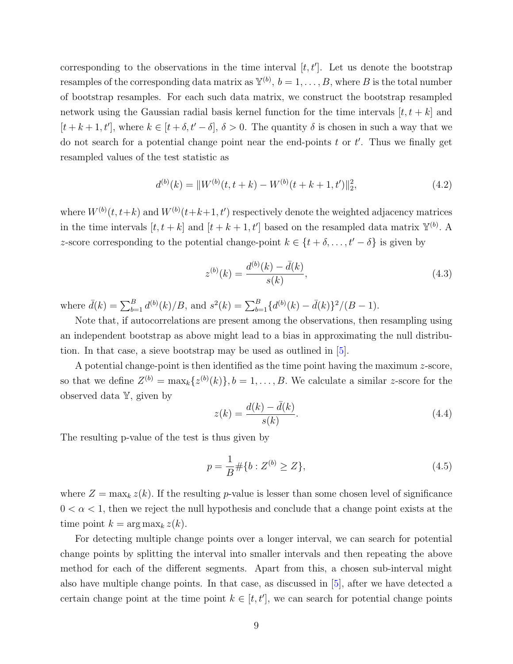corresponding to the observations in the time interval  $[t, t']$ . Let us denote the bootstrap resamples of the corresponding data matrix as  $\mathbb{Y}^{(b)}$ ,  $b = 1, \ldots, B$ , where B is the total number of bootstrap resamples. For each such data matrix, we construct the bootstrap resampled network using the Gaussian radial basis kernel function for the time intervals  $[t, t + k]$  and  $[t + k + 1, t']$ , where  $k \in [t + \delta, t' - \delta], \delta > 0$ . The quantity  $\delta$  is chosen in such a way that we do not search for a potential change point near the end-points  $t$  or  $t'$ . Thus we finally get resampled values of the test statistic as

$$
d^{(b)}(k) = ||W^{(b)}(t, t+k) - W^{(b)}(t+k+1, t')||_2^2,
$$
\n(4.2)

where  $W^{(b)}(t,t+k)$  and  $W^{(b)}(t+k+1,t')$  respectively denote the weighted adjacency matrices in the time intervals  $[t, t+k]$  and  $[t+k+1, t']$  based on the resampled data matrix  $\mathbb{Y}^{(b)}$ . A z-score corresponding to the potential change-point  $k \in \{t + \delta, \ldots, t' - \delta\}$  is given by

$$
z^{(b)}(k) = \frac{d^{(b)}(k) - \bar{d}(k)}{s(k)},
$$
\n(4.3)

where  $\bar{d}(k) = \sum_{b=1}^{B} d^{(b)}(k)/B$ , and  $s^2(k) = \sum_{b=1}^{B} {d^{(b)}(k) - \bar{d}(k)}^2/(B-1)$ .

Note that, if autocorrelations are present among the observations, then resampling using an independent bootstrap as above might lead to a bias in approximating the null distribution. In that case, a sieve bootstrap may be used as outlined in [5].

A potential change-point is then identified as the time point having the maximum z-score, so that we define  $Z^{(b)} = \max_k \{z^{(b)}(k)\}, b = 1, \ldots, B$ . We calculate a similar z-score for the observed data Y, given by

$$
z(k) = \frac{d(k) - \bar{d}(k)}{s(k)}.\tag{4.4}
$$

The resulting p-value of the test is thus given by

$$
p = \frac{1}{B} \# \{ b : Z^{(b)} \ge Z \},\tag{4.5}
$$

where  $Z = \max_k z(k)$ . If the resulting p-value is lesser than some chosen level of significance  $0 < \alpha < 1$ , then we reject the null hypothesis and conclude that a change point exists at the time point  $k = \arg \max_k z(k)$ .

For detecting multiple change points over a longer interval, we can search for potential change points by splitting the interval into smaller intervals and then repeating the above method for each of the different segments. Apart from this, a chosen sub-interval might also have multiple change points. In that case, as discussed in [5], after we have detected a certain change point at the time point  $k \in [t, t']$ , we can search for potential change points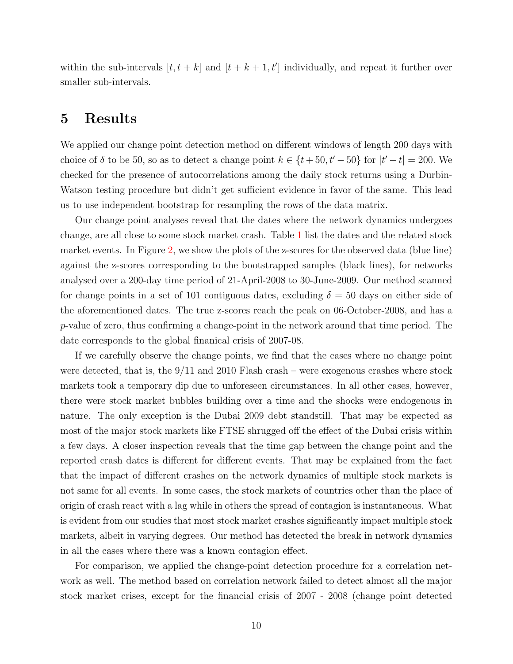within the sub-intervals  $[t, t + k]$  and  $[t + k + 1, t']$  individually, and repeat it further over smaller sub-intervals.

## 5 Results

We applied our change point detection method on different windows of length 200 days with choice of  $\delta$  to be 50, so as to detect a change point  $k \in \{t+50, t'-50\}$  for  $|t'-t| = 200$ . We checked for the presence of autocorrelations among the daily stock returns using a Durbin-Watson testing procedure but didn't get sufficient evidence in favor of the same. This lead us to use independent bootstrap for resampling the rows of the data matrix.

Our change point analyses reveal that the dates where the network dynamics undergoes change, are all close to some stock market crash. Table 1 list the dates and the related stock market events. In Figure 2, we show the plots of the z-scores for the observed data (blue line) against the z-scores corresponding to the bootstrapped samples (black lines), for networks analysed over a 200-day time period of 21-April-2008 to 30-June-2009. Our method scanned for change points in a set of 101 contiguous dates, excluding  $\delta = 50$  days on either side of the aforementioned dates. The true z-scores reach the peak on 06-October-2008, and has a p-value of zero, thus confirming a change-point in the network around that time period. The date corresponds to the global finanical crisis of 2007-08.

If we carefully observe the change points, we find that the cases where no change point were detected, that is, the 9/11 and 2010 Flash crash – were exogenous crashes where stock markets took a temporary dip due to unforeseen circumstances. In all other cases, however, there were stock market bubbles building over a time and the shocks were endogenous in nature. The only exception is the Dubai 2009 debt standstill. That may be expected as most of the major stock markets like FTSE shrugged off the effect of the Dubai crisis within a few days. A closer inspection reveals that the time gap between the change point and the reported crash dates is different for different events. That may be explained from the fact that the impact of different crashes on the network dynamics of multiple stock markets is not same for all events. In some cases, the stock markets of countries other than the place of origin of crash react with a lag while in others the spread of contagion is instantaneous. What is evident from our studies that most stock market crashes significantly impact multiple stock markets, albeit in varying degrees. Our method has detected the break in network dynamics in all the cases where there was a known contagion effect.

For comparison, we applied the change-point detection procedure for a correlation network as well. The method based on correlation network failed to detect almost all the major stock market crises, except for the financial crisis of 2007 - 2008 (change point detected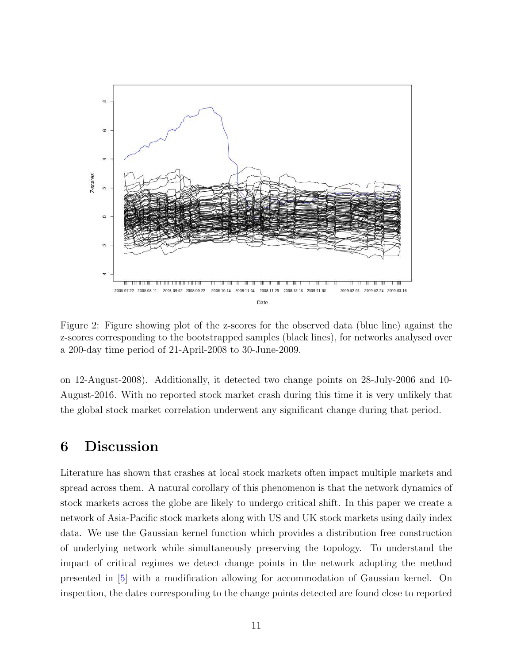

Figure 2: Figure showing plot of the z-scores for the observed data (blue line) against the z-scores corresponding to the bootstrapped samples (black lines), for networks analysed over a 200-day time period of 21-April-2008 to 30-June-2009.

on 12-August-2008). Additionally, it detected two change points on 28-July-2006 and 10- August-2016. With no reported stock market crash during this time it is very unlikely that the global stock market correlation underwent any significant change during that period.

# 6 Discussion

Literature has shown that crashes at local stock markets often impact multiple markets and spread across them. A natural corollary of this phenomenon is that the network dynamics of stock markets across the globe are likely to undergo critical shift. In this paper we create a network of Asia-Pacific stock markets along with US and UK stock markets using daily index data. We use the Gaussian kernel function which provides a distribution free construction of underlying network while simultaneously preserving the topology. To understand the impact of critical regimes we detect change points in the network adopting the method presented in [5] with a modification allowing for accommodation of Gaussian kernel. On inspection, the dates corresponding to the change points detected are found close to reported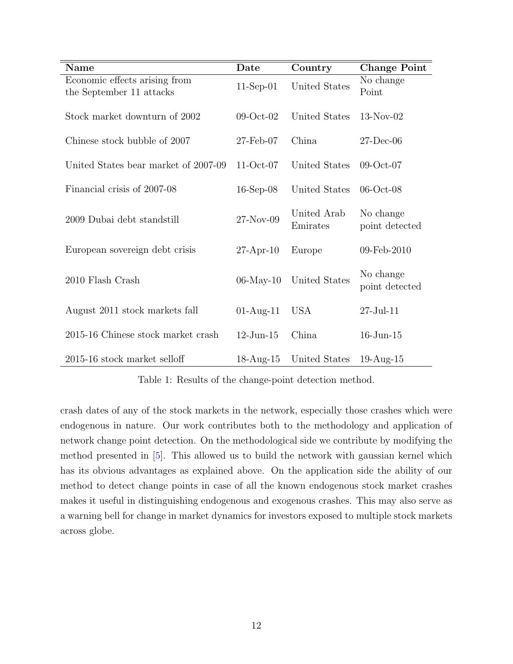| <b>Name</b>                                               | Date            | Country                 | <b>Change Point</b>         |
|-----------------------------------------------------------|-----------------|-------------------------|-----------------------------|
| Economic effects arising from<br>the September 11 attacks | $11-Sep-01$     | United States           | No change<br>Point          |
| Stock market downturn of 2002                             | $09-Oct-02$     | United States           | $13-Nov-02$                 |
| Chinese stock bubble of 2007                              | $27$ -Feb-07    | China                   | $27$ -Dec-06                |
| United States bear market of 2007-09                      | $11-Oct-07$     | United States           | $09-Oct-07$                 |
| Financial crisis of 2007-08                               | $16$ -Sep-08    | United States           | $06$ -Oct- $08$             |
| 2009 Dubai debt standstill                                | 27-Nov-09       | United Arab<br>Emirates | No change<br>point detected |
| European sovereign debt crisis                            | $27$ -Apr-10    | Europe                  | 09-Feb-2010                 |
| 2010 Flash Crash                                          | $06$ -May-10    | United States           | No change<br>point detected |
| August 2011 stock markets fall                            | $01-Aug-11$     | <b>USA</b>              | $27$ -Jul- $11$             |
| 2015-16 Chinese stock market crash                        | $12$ -Jun- $15$ | China                   | $16$ -Jun- $15$             |
| 2015-16 stock market selloff                              | $18-Aug-15$     | United States           | $19$ -Aug- $15$             |

Table 1: Results of the change-point detection method.

crash dates of any of the stock markets in the network, especially those crashes which were endogenous in nature. Our work contributes both to the methodology and application of network change point detection. On the methodological side we contribute by modifying the method presented in [5]. This allowed us to build the network with gaussian kernel which has its obvious advantages as explained above. On the application side the ability of our method to detect change points in case of all the known endogenous stock market crashes makes it useful in distinguishing endogenous and exogenous crashes. This may also serve as a warning bell for change in market dynamics for investors exposed to multiple stock markets across globe.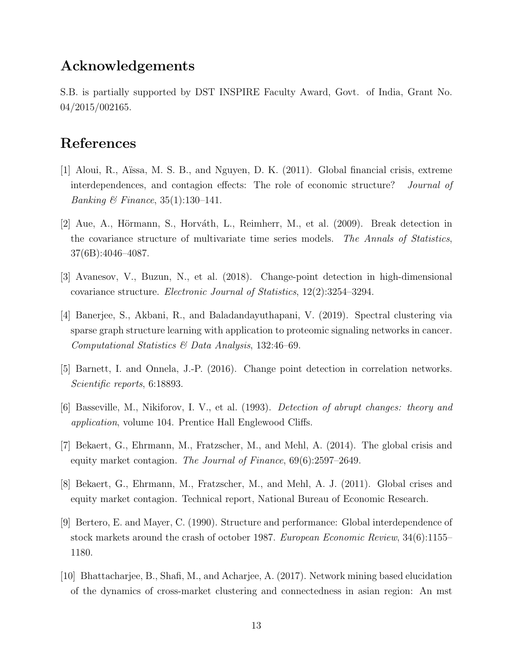## Acknowledgements

S.B. is partially supported by DST INSPIRE Faculty Award, Govt. of India, Grant No. 04/2015/002165.

# References

- [1] Aloui, R., Aïssa, M. S. B., and Nguyen, D. K. (2011). Global financial crisis, extreme interdependences, and contagion effects: The role of economic structure? *Journal of Banking & Finance*, 35(1):130–141.
- [2] Aue, A., Hörmann, S., Horváth, L., Reimherr, M., et al. (2009). Break detection in the covariance structure of multivariate time series models. *The Annals of Statistics*, 37(6B):4046–4087.
- [3] Avanesov, V., Buzun, N., et al. (2018). Change-point detection in high-dimensional covariance structure. *Electronic Journal of Statistics*, 12(2):3254–3294.
- [4] Banerjee, S., Akbani, R., and Baladandayuthapani, V. (2019). Spectral clustering via sparse graph structure learning with application to proteomic signaling networks in cancer. *Computational Statistics & Data Analysis*, 132:46–69.
- [5] Barnett, I. and Onnela, J.-P. (2016). Change point detection in correlation networks. *Scientific reports*, 6:18893.
- [6] Basseville, M., Nikiforov, I. V., et al. (1993). *Detection of abrupt changes: theory and application*, volume 104. Prentice Hall Englewood Cliffs.
- [7] Bekaert, G., Ehrmann, M., Fratzscher, M., and Mehl, A. (2014). The global crisis and equity market contagion. *The Journal of Finance*, 69(6):2597–2649.
- [8] Bekaert, G., Ehrmann, M., Fratzscher, M., and Mehl, A. J. (2011). Global crises and equity market contagion. Technical report, National Bureau of Economic Research.
- [9] Bertero, E. and Mayer, C. (1990). Structure and performance: Global interdependence of stock markets around the crash of october 1987. *European Economic Review*, 34(6):1155– 1180.
- [10] Bhattacharjee, B., Shafi, M., and Acharjee, A. (2017). Network mining based elucidation of the dynamics of cross-market clustering and connectedness in asian region: An mst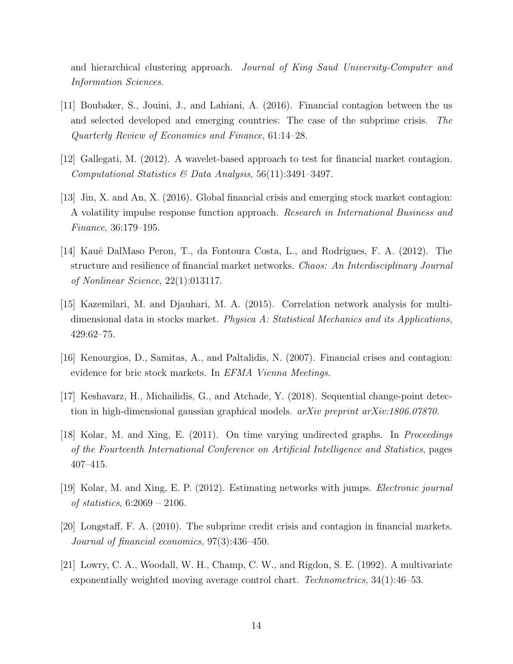and hierarchical clustering approach. *Journal of King Saud University-Computer and Information Sciences*.

- [11] Boubaker, S., Jouini, J., and Lahiani, A. (2016). Financial contagion between the us and selected developed and emerging countries: The case of the subprime crisis. *The Quarterly Review of Economics and Finance*, 61:14–28.
- [12] Gallegati, M. (2012). A wavelet-based approach to test for financial market contagion. *Computational Statistics & Data Analysis*, 56(11):3491–3497.
- [13] Jin, X. and An, X. (2016). Global financial crisis and emerging stock market contagion: A volatility impulse response function approach. *Research in International Business and Finance*, 36:179–195.
- [14] Kauˆe DalMaso Peron, T., da Fontoura Costa, L., and Rodrigues, F. A. (2012). The structure and resilience of financial market networks. *Chaos: An Interdisciplinary Journal of Nonlinear Science*, 22(1):013117.
- [15] Kazemilari, M. and Djauhari, M. A. (2015). Correlation network analysis for multidimensional data in stocks market. *Physica A: Statistical Mechanics and its Applications*, 429:62–75.
- [16] Kenourgios, D., Samitas, A., and Paltalidis, N. (2007). Financial crises and contagion: evidence for bric stock markets. In *EFMA Vienna Meetings*.
- [17] Keshavarz, H., Michailidis, G., and Atchade, Y. (2018). Sequential change-point detection in high-dimensional gaussian graphical models. *arXiv preprint arXiv:1806.07870*.
- [18] Kolar, M. and Xing, E. (2011). On time varying undirected graphs. In *Proceedings of the Fourteenth International Conference on Artificial Intelligence and Statistics*, pages 407–415.
- [19] Kolar, M. and Xing, E. P. (2012). Estimating networks with jumps. *Electronic journal of statistics*, 6:2069 – 2106.
- [20] Longstaff, F. A. (2010). The subprime credit crisis and contagion in financial markets. *Journal of financial economics*, 97(3):436–450.
- [21] Lowry, C. A., Woodall, W. H., Champ, C. W., and Rigdon, S. E. (1992). A multivariate exponentially weighted moving average control chart. *Technometrics*, 34(1):46–53.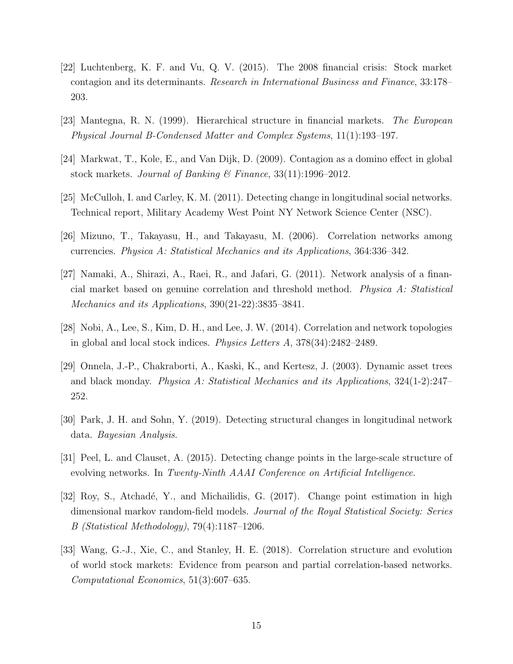- [22] Luchtenberg, K. F. and Vu, Q. V. (2015). The 2008 financial crisis: Stock market contagion and its determinants. *Research in International Business and Finance*, 33:178– 203.
- [23] Mantegna, R. N. (1999). Hierarchical structure in financial markets. *The European Physical Journal B-Condensed Matter and Complex Systems*, 11(1):193–197.
- [24] Markwat, T., Kole, E., and Van Dijk, D. (2009). Contagion as a domino effect in global stock markets. *Journal of Banking & Finance*, 33(11):1996–2012.
- [25] McCulloh, I. and Carley, K. M. (2011). Detecting change in longitudinal social networks. Technical report, Military Academy West Point NY Network Science Center (NSC).
- [26] Mizuno, T., Takayasu, H., and Takayasu, M. (2006). Correlation networks among currencies. *Physica A: Statistical Mechanics and its Applications*, 364:336–342.
- [27] Namaki, A., Shirazi, A., Raei, R., and Jafari, G. (2011). Network analysis of a financial market based on genuine correlation and threshold method. *Physica A: Statistical Mechanics and its Applications*, 390(21-22):3835–3841.
- [28] Nobi, A., Lee, S., Kim, D. H., and Lee, J. W. (2014). Correlation and network topologies in global and local stock indices. *Physics Letters A*, 378(34):2482–2489.
- [29] Onnela, J.-P., Chakraborti, A., Kaski, K., and Kertesz, J. (2003). Dynamic asset trees and black monday. *Physica A: Statistical Mechanics and its Applications*, 324(1-2):247– 252.
- [30] Park, J. H. and Sohn, Y. (2019). Detecting structural changes in longitudinal network data. *Bayesian Analysis*.
- [31] Peel, L. and Clauset, A. (2015). Detecting change points in the large-scale structure of evolving networks. In *Twenty-Ninth AAAI Conference on Artificial Intelligence*.
- [32] Roy, S., Atchadé, Y., and Michailidis, G. (2017). Change point estimation in high dimensional markov random-field models. *Journal of the Royal Statistical Society: Series B (Statistical Methodology)*, 79(4):1187–1206.
- [33] Wang, G.-J., Xie, C., and Stanley, H. E. (2018). Correlation structure and evolution of world stock markets: Evidence from pearson and partial correlation-based networks. *Computational Economics*, 51(3):607–635.